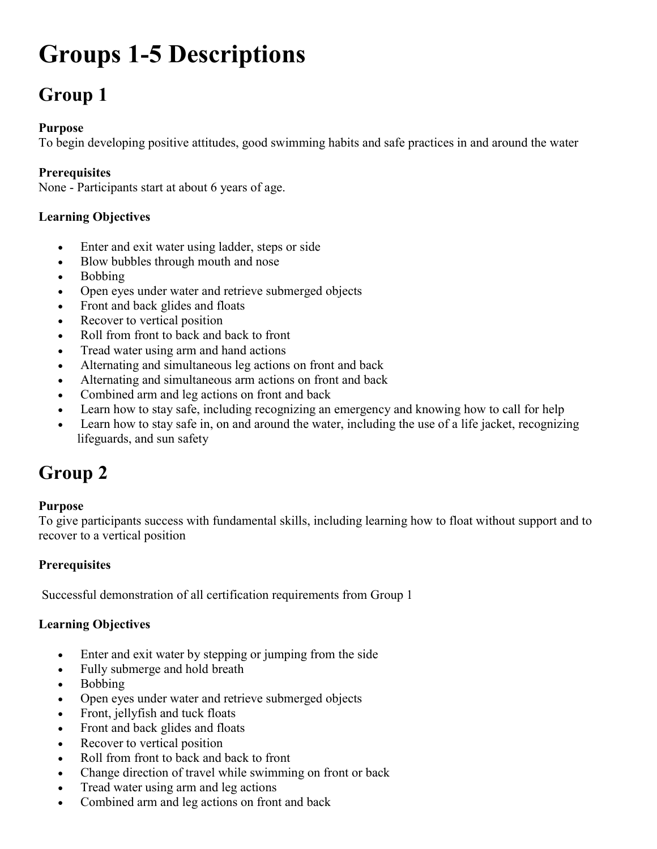# Groups 1-5 Descriptions

# Group 1

#### Purpose

To begin developing positive attitudes, good swimming habits and safe practices in and around the water

#### **Prerequisites**

None - Participants start at about 6 years of age.

#### Learning Objectives

- Enter and exit water using ladder, steps or side
- Blow bubbles through mouth and nose
- Bobbing
- Open eyes under water and retrieve submerged objects
- Front and back glides and floats
- Recover to vertical position
- Roll from front to back and back to front
- Tread water using arm and hand actions
- Alternating and simultaneous leg actions on front and back
- Alternating and simultaneous arm actions on front and back
- Combined arm and leg actions on front and back
- Learn how to stay safe, including recognizing an emergency and knowing how to call for help
- Learn how to stay safe in, on and around the water, including the use of a life jacket, recognizing lifeguards, and sun safety

# Group 2

#### Purpose

To give participants success with fundamental skills, including learning how to float without support and to recover to a vertical position

#### **Prerequisites**

Successful demonstration of all certification requirements from Group 1

#### Learning Objectives

- Enter and exit water by stepping or jumping from the side
- Fully submerge and hold breath
- Bobbing
- Open eyes under water and retrieve submerged objects
- Front, jellyfish and tuck floats
- Front and back glides and floats
- Recover to vertical position
- Roll from front to back and back to front
- Change direction of travel while swimming on front or back
- Tread water using arm and leg actions
- Combined arm and leg actions on front and back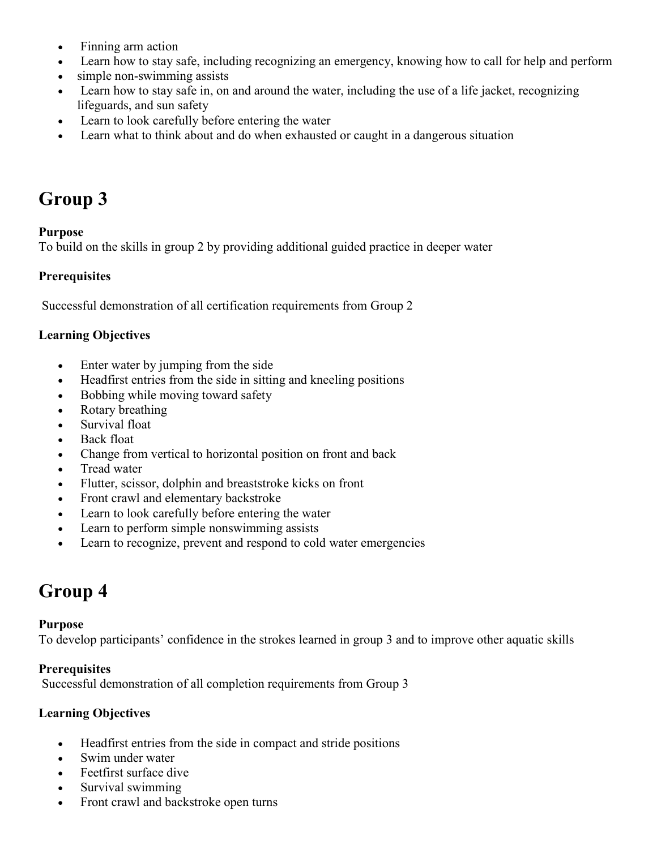- Finning arm action
- Learn how to stay safe, including recognizing an emergency, knowing how to call for help and perform
- simple non-swimming assists
- Learn how to stay safe in, on and around the water, including the use of a life jacket, recognizing lifeguards, and sun safety
- Learn to look carefully before entering the water
- Learn what to think about and do when exhausted or caught in a dangerous situation

# Group 3

#### Purpose

To build on the skills in group 2 by providing additional guided practice in deeper water

#### **Prerequisites**

Successful demonstration of all certification requirements from Group 2

#### Learning Objectives

- Enter water by jumping from the side
- Headfirst entries from the side in sitting and kneeling positions
- Bobbing while moving toward safety
- Rotary breathing
- Survival float
- Back float
- Change from vertical to horizontal position on front and back
- Tread water
- Flutter, scissor, dolphin and breaststroke kicks on front
- Front crawl and elementary backstroke
- Learn to look carefully before entering the water
- Learn to perform simple nonswimming assists
- Learn to recognize, prevent and respond to cold water emergencies

### Group 4

#### Purpose

To develop participants' confidence in the strokes learned in group 3 and to improve other aquatic skills

#### **Prerequisites**

Successful demonstration of all completion requirements from Group 3

#### Learning Objectives

- Headfirst entries from the side in compact and stride positions
- Swim under water
- Feetfirst surface dive
- Survival swimming
- Front crawl and backstroke open turns